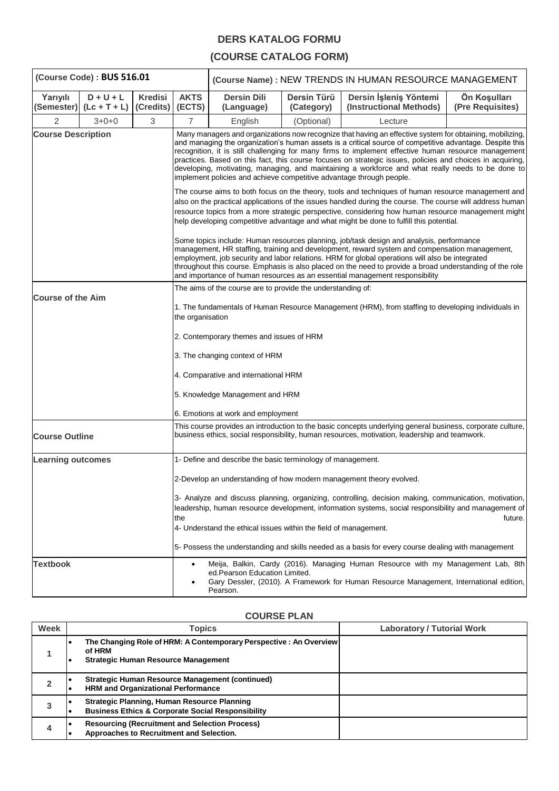## **DERS KATALOG FORMU**

## **(COURSE CATALOG FORM)**

| (Course Code): BUS 516.01 |                                           |                                                                                                                        | (Course Name) : NEW TRENDS IN HUMAN RESOURCE MANAGEMENT                                                                                                                                                                                                                                                                                                                                                                                                                                                                                                                                                                                                                                                                       |                                                                  |                           |                                                                                                                                                                                                                                                                                                                                                                                                                                                                                         |                                  |
|---------------------------|-------------------------------------------|------------------------------------------------------------------------------------------------------------------------|-------------------------------------------------------------------------------------------------------------------------------------------------------------------------------------------------------------------------------------------------------------------------------------------------------------------------------------------------------------------------------------------------------------------------------------------------------------------------------------------------------------------------------------------------------------------------------------------------------------------------------------------------------------------------------------------------------------------------------|------------------------------------------------------------------|---------------------------|-----------------------------------------------------------------------------------------------------------------------------------------------------------------------------------------------------------------------------------------------------------------------------------------------------------------------------------------------------------------------------------------------------------------------------------------------------------------------------------------|----------------------------------|
| Yarıyılı                  | $D + U + L$<br>(Semester) $($ Lc + T + L) | <b>Kredisi</b><br>(Credits) (ECTS)                                                                                     | <b>AKTS</b>                                                                                                                                                                                                                                                                                                                                                                                                                                                                                                                                                                                                                                                                                                                   | <b>Dersin Dili</b><br>(Language)                                 | Dersin Türü<br>(Category) | Dersin İşleniş Yöntemi<br>(Instructional Methods)                                                                                                                                                                                                                                                                                                                                                                                                                                       | Ön Koşulları<br>(Pre Requisites) |
| 2                         | $3 + 0 + 0$                               | 3                                                                                                                      | 7                                                                                                                                                                                                                                                                                                                                                                                                                                                                                                                                                                                                                                                                                                                             | English                                                          | (Optional)                | Lecture                                                                                                                                                                                                                                                                                                                                                                                                                                                                                 |                                  |
| <b>Course Description</b> |                                           |                                                                                                                        | Many managers and organizations now recognize that having an effective system for obtaining, mobilizing,<br>and managing the organization's human assets is a critical source of competitive advantage. Despite this<br>recognition, it is still challenging for many firms to implement effective human resource management<br>practices. Based on this fact, this course focuses on strategic issues, policies and choices in acquiring,<br>developing, motivating, managing, and maintaining a workforce and what really needs to be done to<br>implement policies and achieve competitive advantage through people.<br>The course aims to both focus on the theory, tools and techniques of human resource management and |                                                                  |                           |                                                                                                                                                                                                                                                                                                                                                                                                                                                                                         |                                  |
|                           |                                           |                                                                                                                        |                                                                                                                                                                                                                                                                                                                                                                                                                                                                                                                                                                                                                                                                                                                               |                                                                  |                           | also on the practical applications of the issues handled during the course. The course will address human<br>resource topics from a more strategic perspective, considering how human resource management might<br>help developing competitive advantage and what might be done to fulfill this potential.                                                                                                                                                                              |                                  |
|                           |                                           |                                                                                                                        |                                                                                                                                                                                                                                                                                                                                                                                                                                                                                                                                                                                                                                                                                                                               |                                                                  |                           | Some topics include: Human resources planning, job/task design and analysis, performance<br>management, HR staffing, training and development, reward system and compensation management,<br>employment, job security and labor relations. HRM for global operations will also be integrated<br>throughout this course. Emphasis is also placed on the need to provide a broad understanding of the role<br>and importance of human resources as an essential management responsibility |                                  |
| <b>Course of the Aim</b>  |                                           | The aims of the course are to provide the understanding of:                                                            |                                                                                                                                                                                                                                                                                                                                                                                                                                                                                                                                                                                                                                                                                                                               |                                                                  |                           |                                                                                                                                                                                                                                                                                                                                                                                                                                                                                         |                                  |
|                           |                                           | 1. The fundamentals of Human Resource Management (HRM), from staffing to developing individuals in<br>the organisation |                                                                                                                                                                                                                                                                                                                                                                                                                                                                                                                                                                                                                                                                                                                               |                                                                  |                           |                                                                                                                                                                                                                                                                                                                                                                                                                                                                                         |                                  |
|                           |                                           |                                                                                                                        | 2. Contemporary themes and issues of HRM                                                                                                                                                                                                                                                                                                                                                                                                                                                                                                                                                                                                                                                                                      |                                                                  |                           |                                                                                                                                                                                                                                                                                                                                                                                                                                                                                         |                                  |
|                           |                                           | 3. The changing context of HRM                                                                                         |                                                                                                                                                                                                                                                                                                                                                                                                                                                                                                                                                                                                                                                                                                                               |                                                                  |                           |                                                                                                                                                                                                                                                                                                                                                                                                                                                                                         |                                  |
|                           |                                           | 4. Comparative and international HRM                                                                                   |                                                                                                                                                                                                                                                                                                                                                                                                                                                                                                                                                                                                                                                                                                                               |                                                                  |                           |                                                                                                                                                                                                                                                                                                                                                                                                                                                                                         |                                  |
|                           |                                           | 5. Knowledge Management and HRM                                                                                        |                                                                                                                                                                                                                                                                                                                                                                                                                                                                                                                                                                                                                                                                                                                               |                                                                  |                           |                                                                                                                                                                                                                                                                                                                                                                                                                                                                                         |                                  |
|                           |                                           |                                                                                                                        |                                                                                                                                                                                                                                                                                                                                                                                                                                                                                                                                                                                                                                                                                                                               | 6. Emotions at work and employment                               |                           |                                                                                                                                                                                                                                                                                                                                                                                                                                                                                         |                                  |
| <b>Course Outline</b>     |                                           |                                                                                                                        |                                                                                                                                                                                                                                                                                                                                                                                                                                                                                                                                                                                                                                                                                                                               |                                                                  |                           | This course provides an introduction to the basic concepts underlying general business, corporate culture,<br>business ethics, social responsibility, human resources, motivation, leadership and teamwork.                                                                                                                                                                                                                                                                             |                                  |
| <b>Learning outcomes</b>  |                                           |                                                                                                                        | 1- Define and describe the basic terminology of management.                                                                                                                                                                                                                                                                                                                                                                                                                                                                                                                                                                                                                                                                   |                                                                  |                           |                                                                                                                                                                                                                                                                                                                                                                                                                                                                                         |                                  |
|                           |                                           |                                                                                                                        |                                                                                                                                                                                                                                                                                                                                                                                                                                                                                                                                                                                                                                                                                                                               |                                                                  |                           | 2-Develop an understanding of how modern management theory evolved.                                                                                                                                                                                                                                                                                                                                                                                                                     |                                  |
|                           |                                           |                                                                                                                        | the                                                                                                                                                                                                                                                                                                                                                                                                                                                                                                                                                                                                                                                                                                                           | 4- Understand the ethical issues within the field of management. |                           | 3- Analyze and discuss planning, organizing, controlling, decision making, communication, motivation,<br>leadership, human resource development, information systems, social responsibility and management of                                                                                                                                                                                                                                                                           | future.                          |
|                           |                                           |                                                                                                                        |                                                                                                                                                                                                                                                                                                                                                                                                                                                                                                                                                                                                                                                                                                                               |                                                                  |                           | 5- Possess the understanding and skills needed as a basis for every course dealing with management                                                                                                                                                                                                                                                                                                                                                                                      |                                  |
| <b>Textbook</b>           |                                           | ٠                                                                                                                      | Meija, Balkin, Cardy (2016). Managing Human Resource with my Management Lab, 8th<br>ed. Pearson Education Limited.<br>Gary Dessler, (2010). A Framework for Human Resource Management, International edition,<br>Pearson.                                                                                                                                                                                                                                                                                                                                                                                                                                                                                                     |                                                                  |                           |                                                                                                                                                                                                                                                                                                                                                                                                                                                                                         |                                  |

## **COURSE PLAN**

| Week | Topics                                                                                                                     | <b>Laboratory / Tutorial Work</b> |
|------|----------------------------------------------------------------------------------------------------------------------------|-----------------------------------|
|      | The Changing Role of HRM: A Contemporary Perspective : An Overview<br>of HRM<br><b>Strategic Human Resource Management</b> |                                   |
|      | Strategic Human Resource Management (continued)<br>HRM and Organizational Performance                                      |                                   |
| 3    | <b>Strategic Planning, Human Resource Planning</b><br><b>Business Ethics &amp; Corporate Social Responsibility</b>         |                                   |
| 4    | <b>Resourcing (Recruitment and Selection Process)</b><br>Approaches to Recruitment and Selection.                          |                                   |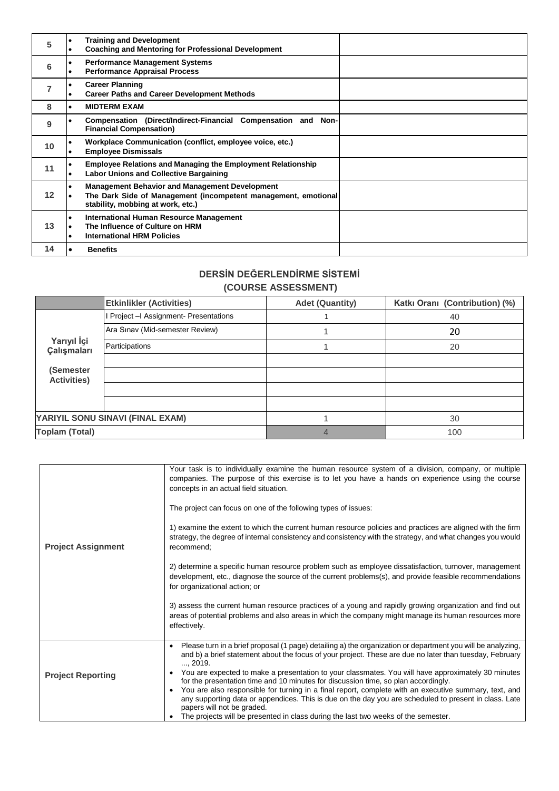| 5              | <b>Training and Development</b><br><b>Coaching and Mentoring for Professional Development</b>                                                                |  |
|----------------|--------------------------------------------------------------------------------------------------------------------------------------------------------------|--|
| 6              | <b>Performance Management Systems</b><br><b>Performance Appraisal Process</b>                                                                                |  |
| $\overline{7}$ | <b>Career Planning</b><br><b>Career Paths and Career Development Methods</b>                                                                                 |  |
| 8              | <b>MIDTERM EXAM</b>                                                                                                                                          |  |
| 9              | Compensation (Direct/Indirect-Financial Compensation and Non-<br><b>Financial Compensation)</b>                                                              |  |
| 10             | Workplace Communication (conflict, employee voice, etc.)<br><b>Employee Dismissals</b>                                                                       |  |
| 11             | <b>Employee Relations and Managing the Employment Relationship</b><br><b>Labor Unions and Collective Bargaining</b>                                          |  |
| 12             | <b>Management Behavior and Management Development</b><br>The Dark Side of Management (incompetent management, emotional<br>stability, mobbing at work, etc.) |  |
| 13             | <b>International Human Resource Management</b><br>The Influence of Culture on HRM<br><b>International HRM Policies</b>                                       |  |
| 14             | <b>Benefits</b>                                                                                                                                              |  |

## **DERSİN DEĞERLENDİRME SİSTEMİ (COURSE ASSESSMENT)**

|                                 | <b>Etkinlikler (Activities)</b>        | <b>Adet (Quantity)</b> | Katkı Oranı (Contribution) (%) |
|---------------------------------|----------------------------------------|------------------------|--------------------------------|
|                                 | Project - Assignment- Presentations    |                        | 40                             |
|                                 | Ara Sinav (Mid-semester Review)        |                        | 20                             |
| Yarıyıl İçi<br>Çalışmaları      | Participations                         |                        | 20                             |
|                                 |                                        |                        |                                |
| (Semester<br><b>Activities)</b> |                                        |                        |                                |
|                                 |                                        |                        |                                |
|                                 |                                        |                        |                                |
|                                 | YARIYIL SONU SINAVI (FINAL EXAM)<br>30 |                        |                                |
| <b>Toplam (Total)</b>           |                                        | 4                      | 100                            |

| <b>Project Assignment</b> | Your task is to individually examine the human resource system of a division, company, or multiple<br>companies. The purpose of this exercise is to let you have a hands on experience using the course<br>concepts in an actual field situation.<br>The project can focus on one of the following types of issues:<br>1) examine the extent to which the current human resource policies and practices are aligned with the firm<br>strategy, the degree of internal consistency and consistency with the strategy, and what changes you would<br>recommend;<br>2) determine a specific human resource problem such as employee dissatisfaction, turnover, management<br>development, etc., diagnose the source of the current problems(s), and provide feasible recommendations                          |  |  |
|---------------------------|------------------------------------------------------------------------------------------------------------------------------------------------------------------------------------------------------------------------------------------------------------------------------------------------------------------------------------------------------------------------------------------------------------------------------------------------------------------------------------------------------------------------------------------------------------------------------------------------------------------------------------------------------------------------------------------------------------------------------------------------------------------------------------------------------------|--|--|
|                           | for organizational action; or<br>3) assess the current human resource practices of a young and rapidly growing organization and find out<br>areas of potential problems and also areas in which the company might manage its human resources more<br>effectively.                                                                                                                                                                                                                                                                                                                                                                                                                                                                                                                                          |  |  |
| <b>Project Reporting</b>  | Please turn in a brief proposal (1 page) detailing a) the organization or department you will be analyzing,<br>$\bullet$<br>and b) a brief statement about the focus of your project. These are due no later than tuesday, February<br>, 2019.<br>You are expected to make a presentation to your classmates. You will have approximately 30 minutes<br>$\bullet$<br>for the presentation time and 10 minutes for discussion time, so plan accordingly.<br>You are also responsible for turning in a final report, complete with an executive summary, text, and<br>$\bullet$<br>any supporting data or appendices. This is due on the day you are scheduled to present in class. Late<br>papers will not be graded.<br>The projects will be presented in class during the last two weeks of the semester. |  |  |